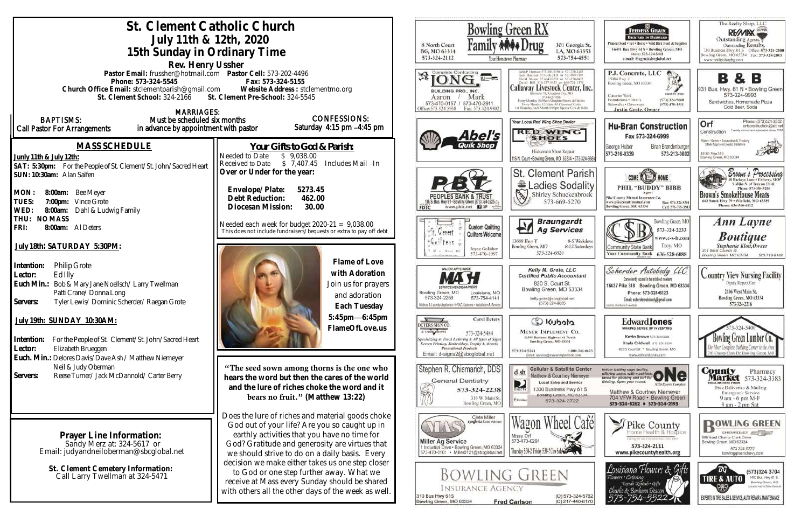